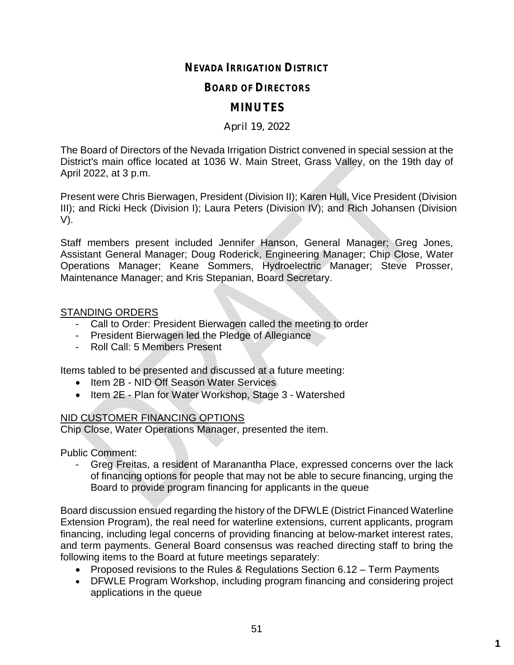# **NEVADA IRRIGATION DISTRICT**

### **BOARD OF DIRECTORS**

# **MINUTES**

#### April 19, 2022

The Board of Directors of the Nevada Irrigation District convened in special session at the District's main office located at 1036 W. Main Street, Grass Valley, on the 19th day of April 2022, at 3 p.m.

Present were Chris Bierwagen, President (Division II); Karen Hull, Vice President (Division III); and Ricki Heck (Division I); Laura Peters (Division IV); and Rich Johansen (Division V).

Staff members present included Jennifer Hanson, General Manager; Greg Jones, Assistant General Manager; Doug Roderick, Engineering Manager; Chip Close, Water Operations Manager; Keane Sommers, Hydroelectric Manager; Steve Prosser, Maintenance Manager; and Kris Stepanian, Board Secretary.

#### STANDING ORDERS

- Call to Order: President Bierwagen called the meeting to order
- President Bierwagen led the Pledge of Allegiance
- Roll Call: 5 Members Present

Items tabled to be presented and discussed at a future meeting:

- Item 2B NID Off Season Water Services
- Item 2E Plan for Water Workshop, Stage 3 Watershed

### NID CUSTOMER FINANCING OPTIONS

Chip Close, Water Operations Manager, presented the item.

Public Comment:

- Greg Freitas, a resident of Maranantha Place, expressed concerns over the lack of financing options for people that may not be able to secure financing, urging the Board to provide program financing for applicants in the queue

Board discussion ensued regarding the history of the DFWLE (District Financed Waterline Extension Program), the real need for waterline extensions, current applicants, program financing, including legal concerns of providing financing at below-market interest rates, and term payments. General Board consensus was reached directing staff to bring the following items to the Board at future meetings separately:

- Proposed revisions to the Rules & Regulations Section 6.12 Term Payments
- DFWLE Program Workshop, including program financing and considering project applications in the queue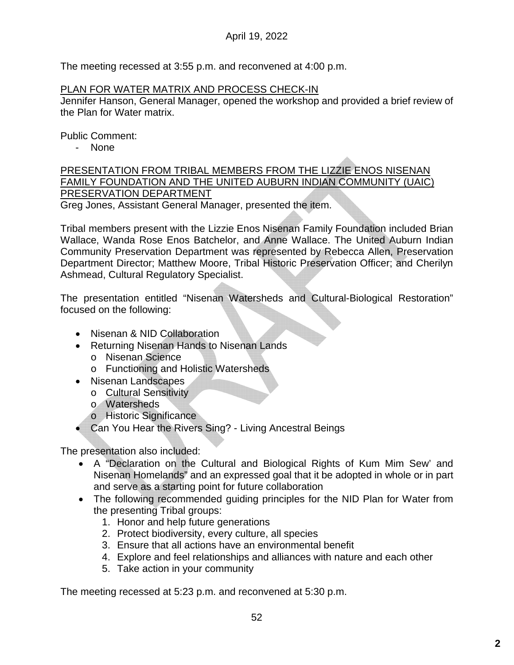The meeting recessed at 3:55 p.m. and reconvened at 4:00 p.m.

#### PLAN FOR WATER MATRIX AND PROCESS CHECK-IN

Jennifer Hanson, General Manager, opened the workshop and provided a brief review of the Plan for Water matrix.

Public Comment:

- None

PRESENTATION FROM TRIBAL MEMBERS FROM THE LIZZIE ENOS NISENAN FAMILY FOUNDATION AND THE UNITED AUBURN INDIAN COMMUNITY (UAIC) PRESERVATION DEPARTMENT

Greg Jones, Assistant General Manager, presented the item.

Tribal members present with the Lizzie Enos Nisenan Family Foundation included Brian Wallace, Wanda Rose Enos Batchelor, and Anne Wallace. The United Auburn Indian Community Preservation Department was represented by Rebecca Allen, Preservation Department Director; Matthew Moore, Tribal Historic Preservation Officer; and Cherilyn Ashmead, Cultural Regulatory Specialist.

The presentation entitled "Nisenan Watersheds and Cultural-Biological Restoration" focused on the following:

- Nisenan & NID Collaboration
- Returning Nisenan Hands to Nisenan Lands
	- o Nisenan Science
	- o Functioning and Holistic Watersheds
- Nisenan Landscapes
	- o Cultural Sensitivity
	- o Watersheds
	- o Historic Significance
- Can You Hear the Rivers Sing? Living Ancestral Beings

The presentation also included:

- A "Declaration on the Cultural and Biological Rights of Kum Mim Sew' and Nisenan Homelands" and an expressed goal that it be adopted in whole or in part and serve as a starting point for future collaboration
- The following recommended quiding principles for the NID Plan for Water from the presenting Tribal groups:
	- 1. Honor and help future generations
	- 2. Protect biodiversity, every culture, all species
	- 3. Ensure that all actions have an environmental benefit
	- 4. Explore and feel relationships and alliances with nature and each other
	- 5. Take action in your community

The meeting recessed at 5:23 p.m. and reconvened at 5:30 p.m.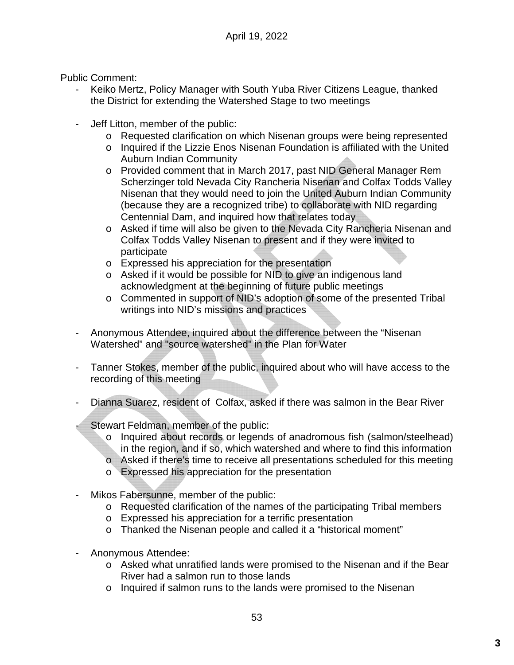Public Comment:

- Keiko Mertz, Policy Manager with South Yuba River Citizens League, thanked the District for extending the Watershed Stage to two meetings
- Jeff Litton, member of the public:
	- o Requested clarification on which Nisenan groups were being represented
	- o Inquired if the Lizzie Enos Nisenan Foundation is affiliated with the United Auburn Indian Community
	- o Provided comment that in March 2017, past NID General Manager Rem Scherzinger told Nevada City Rancheria Nisenan and Colfax Todds Valley Nisenan that they would need to join the United Auburn Indian Community (because they are a recognized tribe) to collaborate with NID regarding Centennial Dam, and inquired how that relates today
	- o Asked if time will also be given to the Nevada City Rancheria Nisenan and Colfax Todds Valley Nisenan to present and if they were invited to participate
	- o Expressed his appreciation for the presentation
	- o Asked if it would be possible for NID to give an indigenous land acknowledgment at the beginning of future public meetings
	- o Commented in support of NID's adoption of some of the presented Tribal writings into NID's missions and practices
- Anonymous Attendee, inquired about the difference between the "Nisenan Watershed" and "source watershed" in the Plan for Water
- Tanner Stokes, member of the public, inquired about who will have access to the recording of this meeting
- Dianna Suarez, resident of Colfax, asked if there was salmon in the Bear River
- Stewart Feldman, member of the public:
	- o Inquired about records or legends of anadromous fish (salmon/steelhead) in the region, and if so, which watershed and where to find this information
	- o Asked if there's time to receive all presentations scheduled for this meeting
	- o Expressed his appreciation for the presentation
- Mikos Fabersunne, member of the public:
	- o Requested clarification of the names of the participating Tribal members
	- o Expressed his appreciation for a terrific presentation
	- o Thanked the Nisenan people and called it a "historical moment"
- Anonymous Attendee:
	- o Asked what unratified lands were promised to the Nisenan and if the Bear River had a salmon run to those lands
	- o Inquired if salmon runs to the lands were promised to the Nisenan